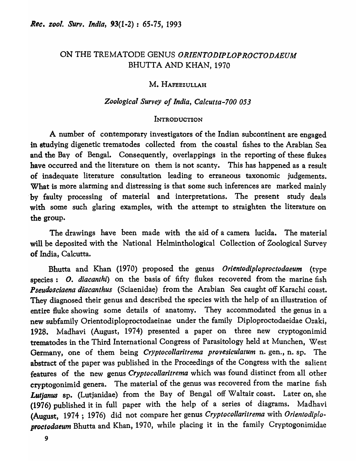# ON THE TREMATODE GENUS *ORIENTODIPLOPROCTODAEUM*  BHUTTA AND KHAN, 1970

### M. HAFEEZULLAH

## *Zoological Survey of India, Calcutta-700 053*

### **INTRODUCTION**

A number of contemporary investigators of the Indian subcontinent are engaged in studying digenetic trematodes collected from the coastal fishes to the Arabian Sea and the Bay of Bengal. Consequently, overlappings in the reporting of these flukes have occurred and the literature on them is not scanty. This has happened as a result of inadequate literature consultation leading to erraneous taxonomic judgements. What is more alarming and distressing is that some such inferences are marked mainly -by faulty processing of material and interpretations. The present study deals with some such glaring examples, with the attempt to straighten the literature on the group.

The drawings have been made with the aid of a camera lucida. The material will be deposited with the National Helminthological Collection of Zoological Survey of India, Calcutta.

Bhutta and Khan (1970) proposed the genus *Orientodiploproctodaeum* (type species: O. *diacanthi)* on the basis of fifty flukes recovered from the marine fish *Pseudosciaena diacanthus* (Sciaenidae) from the Arabian Sea caught off Karachi coast. They diagnosed their genus and described the species with the help of an illustration of entire fluke showing some details of anatomy. They accommodated the genus in a new subfamily Orientodiploproctodaeinae under the family Diploproctodaeidae Ozaki, 1928. Nladhavi (August, 1974) presented a paper on three new cryptogonimid trematodes in the Third International Congress of Parasitology held at Munchen, West Germany, one of them being *Cryptocollaritrema provesiculatum* n. gen., n. sp. The abstract of the paper was published in the Proceedings of the Congress with the salient features of the new genus *Cryptocollaritrema* which was found distinct from all other cryptogonimid genera. The material of the genus was recovered from the marine fish *Lutjanus* sp. (Lutjanidae) from the Bay of Bengal off Waltair coast. Later on, she (1976) published it in full paper with the help of a series of diagrams. Madhavi (August, 1974; 1976) did not compare her genus *Cryptocollaritrema* with *Orientodiploproctodaeum* Bhutta and Khan, 1970, while placing it in the family Cryptogonimidae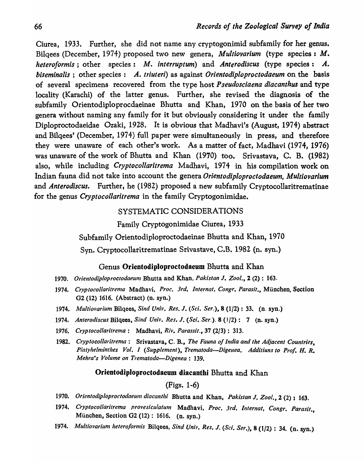Ciurea, 1933. Further, she did not name any cryptogonimid subfamily for her genus. Bilqees (December, 1974) proposed two new genera, *Multiovarium* (type species: *M. heteroformis* ; other species: *M. interruptum)* and *Anterodiscus* (type species: *A. biseminalis* ; other species: *A. triuteri)* as against *Orientodiploproctodaeum* on the basis of several specimens recovered from the type host *P seudosciaena diacanthus* and type locality (Karachi) of the latter genus. Further, she revised the diagnosis of the subfamily Orientodiploprocdaeinae Bhutta and Khan, 1970 on the basis of her two genera without naming any family for it but obviously considering it under the family Diploproctodaeidae Ozaki, 1928. It is obvious that Madhavi's (August, 1974) abstract and Bilqees' (December, 1974) full paper were simultaneously in press, and therefore they were unaware of each other's work. As a matter of fact, Madhavi (1974, 1976) was unaware of the work of Bhutta and Khan (1970) too. Srivastava, C. B. (1982) also, while including *Cryptocollaritrema* Madhavi, 1974 in his compilation work on Indian fauna did not take into account the genera *Orientodiploproctodaeum, Multiovarium*  and *Anterodiscus.* Further, he (1982) proposed a new subfamily Cryptocollaritrematinae for the genus *Cryptocollaritrema* in the family Cryptogonimidae.

#### SYSTEMATIC CONSIDERATIONS

### Family Cryptogonimidae Ciurea, 1933

Subfamily Orientodiploproctodaeinae Bhutta and Khan, 1970

Syn. Cryptocollaritrematinae Srivastave, C.B. 1982 (n. syn.)

#### Genus Orientodiploproctodaeum Bhutta and Khan

- 1970. *Orientodiploproctodae.um* Bhutta and Khan, *Pakistan* J. *Zoo/.,* 2 (2): 163.
- 1974. *Cryploco/larilrema* Madhavi, *Proc. 3rd. Internat. Congr. Parasit.,* Munchen, Section 02 (12) 1616. (Abstract) (n. syn.)
- *1974. Multiovarium* Bilqees, *Sind Univ. Res.* J. *(Sci. Ser.),* 8 (1/2) : 33. (n. syn.)
- *1974. Anterodiscus* Bilqees, *Sind Univ. Res.* J. *(Sci. Ser.).* 8 (' /2): 7 (n. syn.)
- 1976. *Cryptoco/laritrema:* Madhavi, *Riv. Parassit.,* 37 (2/3): 313.
- 1982. *Cryptocollaritrema:* Srivastava, C. B., *The Fauna 0/ India and the Adjacent Countries, Platyhelminthes Vol. I (Supplement), Trematoda-Digeuea. Additiuns to Prof. H.R. Mehra's Volume on Trematoda-Digenea:* 139.

### Orientodiploproctodaeum diacanthi Bhutta and Khan

### (Figs. 1-6)

- *1970. Orientodiploproclodaeum diacanthi* Bhutta and Khan, *Pakistan* J. *Zool.,* 2 (2) ~ 163.
- 1974. *Cryptocol/arilrema provesiculatum* Madhavi, *Proc.* 3 *rd. Internat, Congr. Parasit.,*  München, Section G2 (12): 1616. (n. syn.)
- *1974. Multiovarillm heter%rmis* Bilqees, *Sind Univ. Res.* J. *(Sci. Ser.),* 8 (1/2) : 34. (n. syn.)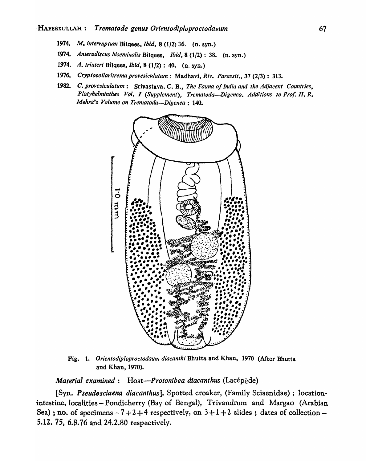- *1974. M. interruptum* Bilqees, *Ibid,* 8 (1/2) 36. (n. syn.)
- *1974. Anterodiscus biseminalis* Bilqees, *Ibid,* 8 (1/2) : 38. (n. syn.)
- *1974. A. trluteri* Bilqees, *Ibid,* 8 (1/2): 40. (n. syn.)
- 1976. *Cryptocol/aritrema provesiculatum* : Madhavi, *Riv. Parassit.,* 37 (2/3): 313.
- 1982. C. *provesicuiatum:* Srivastava, C. B., *The Fauna of India and the Adjacent Countries, Platyhelminthes Vol. I (Supplement), Trematoda-Digenea. Additions to Pro/. H, R. Mehra's Volume on Trematoda-Digenea: 140 •*



Fig. 1. *Orientodiploproctodaum diacanthi* Bhutta and Khan, 1970 (After Bhutta and Khan, 1970).

*Material examined* : Host-Protonibea diacanthus (Lacépède)

[Syn. *Pseudosciaena diacanthus],* Spotted croaker, (Family Sciaenidae) ; locationintestine, localities - Pondicherry (Bay of Bengal), Trivandrum and Margao (Arabian Sea); no. of specimens  $-7+2+4$  respectively, on  $3+1+2$  slides; dates of collection -5.12. 75, 6.8.76 and 24.2.80 respectively.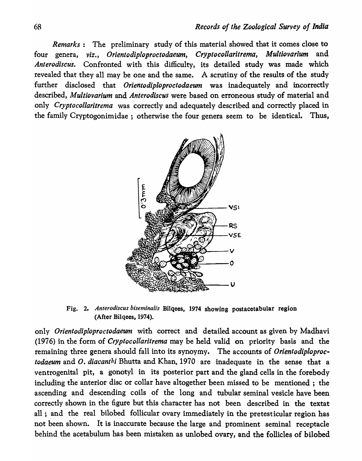*Remarks:* The preliminary study of this material showed that it comes close to four genera, *viz., Orientodiploproctodaeum, Cryptocollaritrema, Multiovarium* and *Anterodiscus.* Confronted with this difficulty, its detailed study was made which revealed that they all may be one and the same. A scrutiny of the results of the study further disclosed that *Orientodiploproctodaeum* was inadequately and incorrectly described, *Multiovarium* and *Anterodiscus* were based on erroneous study of material and only *Cryptocollaritrema* was correctly and adequately described and correctly placed in the family Cryptogonimidae ; otherwise the four genera seem to be identical. Thus,



Fig. 2. *Anterodiscus biseminalis* Bilqees, 1974 showing postacetabular region (After Bilqees, 1974).

only *Orientodip/oproctodaeum* with correct and detailed account as given by Madhavi (1976) in the form of *CrYptocollaritrema* may be held valid on priority basis and the remaining three genera should fall into its synoymy. The accounts of *Orientodiploproctodaeum* and *o. diacanth;* Bhutta and Khan, 1970 are inadequate in the sense that a ventrogenital pit, a gonotyl in its posterior part and the gland cells in the forebody including the anterior disc or collar have altogether been missed to be mentioned; the ascending and descending coils of the long and tubular seminal vesicle have been correctly shown in the figure but this character has not been described in the textat all; and the real bilobed follicular ovary immediately in the pretesticular region has not been shown. It is inaccurate because the large and prominent seminal receptacle behind the acetabulum has been mistaken as unlobed ovary, and the follicles of bilobed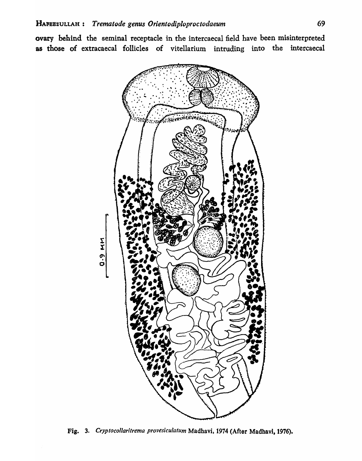ovary behind the seminal receptacle in the intercaecal field have been misinterpreted as those of extracaecal follicles of vitellarium intruding into the intercaecal



Fig. 3. *Cryptocollaritrema provesiculatum* Madhavi, 1974 (After Madhavi, 1976).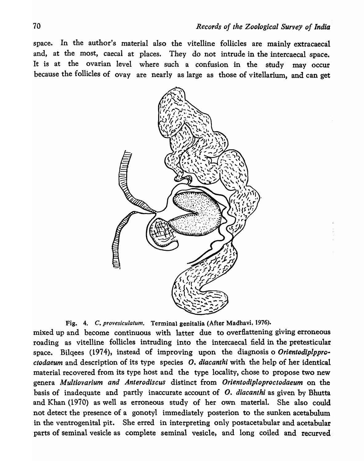space. In the author's material also the vitelline follicles are mainly extracaecal and, at the most, caecal at places. They do not intrude in the intercaecal space. It is at the ovarian level where such a confusion in the study may occur because the follicles of ovay are nearly as large as those of vitellarium, and can get



Fig. 4. C. *provesiculatum.* Terminal genitalia (After Madhavi, 1976).

mixed up and become continuous with latter due to overflattening giving erroneous roading as vitelline follicles intruding into the intercaecal field in the pretesticular space. Bilqees (1974), instead of improving upon the diagnosis 0 *Orientodiplpproctodaeum* and description of its type species O. *diacanthi* with the help of her identical material recovered from its type host and the type locality, chose to propose two new genera *Multiovarium and Anterodiscus* distinct from *Orientodiploproctodaeum* on the basis of inadequate and partly inaccurate account of O. *diacanthi* as given by Bhutta and Khan (1970) as well as erroneous study of her own material. She also could not detect the presence of a gonotyl immediately posterion to the sunken acetabulum in the ventrogenital pit. She erred in interpreting only postacetabular and acetabular parts of seminal vesicle as complete seminal vesicle, and long coiled and recurved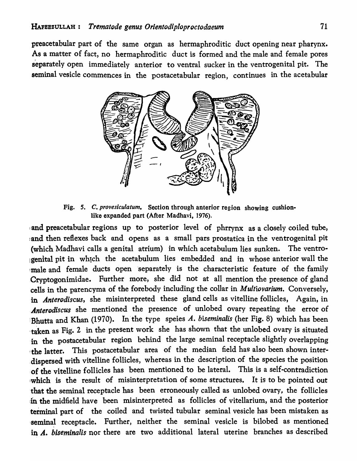preacetabular part of the same organ as hermaphroditic duct opening near pharynx. As a matter of fact, no hermaphroditic duct is formed and the male and female pores separately open immediately anterior to ventral sucker in the ventrogenital pit. The seminal vesicle commences in the postacetabular region, continues in the acetabular



Fig. 5. C. *provesiculatum*. Section through anterior region showing cushionlike expanded part (After Madhavi, 1976).

and preacetabular regions up to posterior level of phrrynx as a closely coiled tube, and then reflexes back and opens as a small pars prostatica in the ventrogenital pit (which Madhavi calls a genital atrium) in which acetabulum lies sunken. The ventro-Igenital pit in whlch the acetabulum lies embedded and in whose anterior wall the male and female ducts open separately is the characteristic feature of the family Cryptogonimidae. Further more, she did not at all mention the presence of gland cells in the parencyma of the forebody including the collar in *M u1tiovarium.* Conversely, in *Anterodiscus,* she misinterpreted these gland cells as vitelline follicles, Again, in *Anterodiscus* she mentioned the presence of unlobed ovary repeating the error of Bhutta and Khan (1970). In the type speies A. *biseminalis* (her Fig. 8) which has been taken as Fig. 2 in the present work she has shown that the unlobed ovary is situated in the postacetabular region behind the large seminal receptacle slightly overlapping the latter. This postacetabular area of the median field has also been shown inter-:dispersed with vitelline follicles, whereas in the description of the species the position 'of the vitelline follicles has been mentioned to be lateral. This is a self-contradiction which is the result of misinterpretation of some structures. It is to be pointed out that the seminal receptacle has been erroneously called as unlobed ovary, the follicles in the midfield have been misinterpreted as follicles of vitellarium, and the posterior terminal part of the coiled and twisted tubular seminal vesicle has been mistaken as :seminal receptacle. Further, neither the seminal vesicle is bilobed as mentioned in *A. biseminalis* nor there are two additional lateral uterine branches as described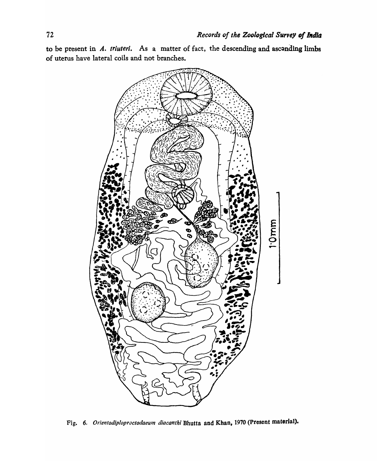to be present in A. *triuteri*. As a matter of fact, the descending and asconding limbs of uterus have lateral coils and not branches.



Fig. 6. *Orientodiploproctodaeum diacanthi* Bhutta and Khan, 1970 (Present material).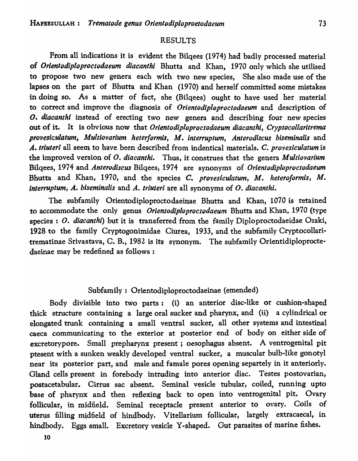### RESULTS

From all indications it is evident the Bilqees (1974) had badly processed material of *Orientodiploproctodaeum diacanthi* Bhutta and Khan, 1970 only which she utilised to propose two new genera each with two new species, She also made use of the lapses on the part of Bhutta and Khan (1970) and herself committed some mistakes in doing so. As a matter of fact, she (Bilqees) ought to have used her material to correct and improve the diagnosis of *Orientodiploproctodaeum* and description of *O. diacanthi* instead of erecting two new genera and describing four new species out of it. It is obvious now that *Orientodiploproctodaeum diacanthi, Cryptocollaritrema provesiculatum, Multiovarium heterfarmis, M. interruptum, Anterodiscus biseminalis* and *A. triuteri* all seem to have been described from indentical materials. C. *provesiculatum* is the improved version of *o. diacanthi.* Thus, it construes that the genera *Multiovarium*  Bilqees, 1974 and *Anterodiscus* Bilqees, 1974 are synonyms of *Orientodiploproctodaeum*  Bhutta and Khan, 1970, and the species C. *provesiculatum, M. heteroformis, M. interruptum, A. biseminalis* and *A. triuteri* are all synonyms of *o. diacanthi.* 

The subfamily Orientodiploproctodaeinae Bhutta and Khan, 1070 is retained to accommodate the only genus *Orientodiploproctodaeum* Bhutta and Khan, 1970 (type species: *O. diacanthi)* but it is transferred from the family Diploproctodaeidae Ozaki, 1928 to the family Cryptogonimidae Ciurea, 1933, and the subfamily Cryptocollaritrematinae Srivastava, C. B., 1982 is its synonym. The subfamily Orientidiploproctedaeinae may be redefined as follows:

### Subfamily: Orientodiploproctodaeinae (emended)

Body divisible into two parts: (i) an anterior disc-like or cushion-shaped thick structure containing a large oral sucker and pharynx, and (ii) a cylindrical or elongated trunk containing a small ventral sucker, all other systems and intestinal caeca communicating to the exterior at posterior end of body on either side of excretorypore. Small prepharynx present ; oesophagus absent. A ventrogenital pit ptesent with a sunken weakly developed ventral sucker, a muscular bulb-like gonotyl near its posterior part, and male and famale pores opening separtely in it anteriorly. Gland cells present in forebody intruding into anterior disc. Testes postovarian, postacetabular. Cirrus sac absent. Seminal vesicle tubular, coiled, running upto base of pharynx and then reflexing back to open into ventrogenital pit. Ovary follicular, in midfield. Seminal receptacle present anterior to ovary. Coils of uterus filling midfield of hindbody. Vitellarium follicular, largely extracaecal, in hindbody. Eggs small. Excretory vesicle Y-shaped. Gut parasites of marine fishes.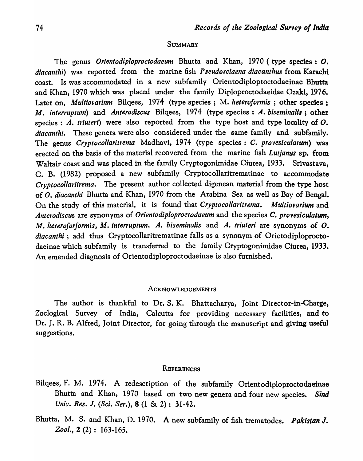### **SUMMARY**

The genus *Orientodiploproctodaeum* Bhutta and Khan, 1970 ( type species: *O. diacanthi)* was reported from the marine fish P *seudosciaena diacanthus* from Karachi coast. Is was accommodated in a new subfamily Orientodiploptoctodaeinae Bhutta and Khan, 1970 which was placed under the family Diploproctodaeidae Ozaki, 1976. Later on, *Multiovarinm* Bilgees, 1974 (type species; M. *heteroformis*; other species: M. *interruptum)* and *Anterodiscus* Bilqees, 1974 (type species: *A. biseminalis* ; other species: *A. triuteri)* were also reported from the type host and type locality of O. *diacanthi.* These genera were also considered under the same family and subfamily. The genus *Cryptocollaritrema* Madhavi, 1974 (type species: C. *provesiculatum)* was erected on the basis of the material recovered from the marine fish *Lutjanus* sp. from Waltair coast and was placed in the family Cryptogonimidae Ciurea, 1933. Srivastava, C. B. (1982) proposed a new subfamily Cryptocollaritrematinae to accommodate *Cryptocollariirema.* The present author collected digenean material from the type host of *o. diacanthi* Bhutta and Khan, 1970 from the Arabina Sea as well as Bay of Bengal. On the study of this material, it is found that *Cryptocollaritrema. Multiovarium* and *Anterodiscus* are synonyms of *Orientodiploproctodaeum* and the species C. *provesiculatum,*  M. *heteroforformis,* M. *interruptum, A. biseminalis* and *A. tr;uteri* are synonyms of *o.*  diacanthi; add thus Cryptocollaritrematinae falls as a synonym of Orietodiploproctodaeinae which subfamily is transferred to the family Cryptogonimidae Ciurea, 1933. An emended diagnosis of Orientodiploproctodaeinae is also furnished.

#### **ACKNOWLEDGEMENTS**

The author is thankful to Dr. S. K. Bhattacharya, Joint Director-in-Charge, Zoclogical Survey of India, Calcutta for providing necessary facilities, and to Dr. J. R. B. Alfred, Joint Director, for going through the manuscript and giving useful suggestions.

#### **REFERENCES**

- Bilqees, F. M. 1974. A redescription of the subfamily Orientodiploproctodaeinae Bhutta and Khan, 1970 based on two new genera and four new species. *Sind Univ .. Res.* J. *(Sci. Ser.),* 8 (1 & 2): 31-42.
- Bhutta, M. S. and Khan, D. 1970. A new subfamily of fish trematodes. *Pakistan* I. *Zool.,* 2 (2): 163-165.